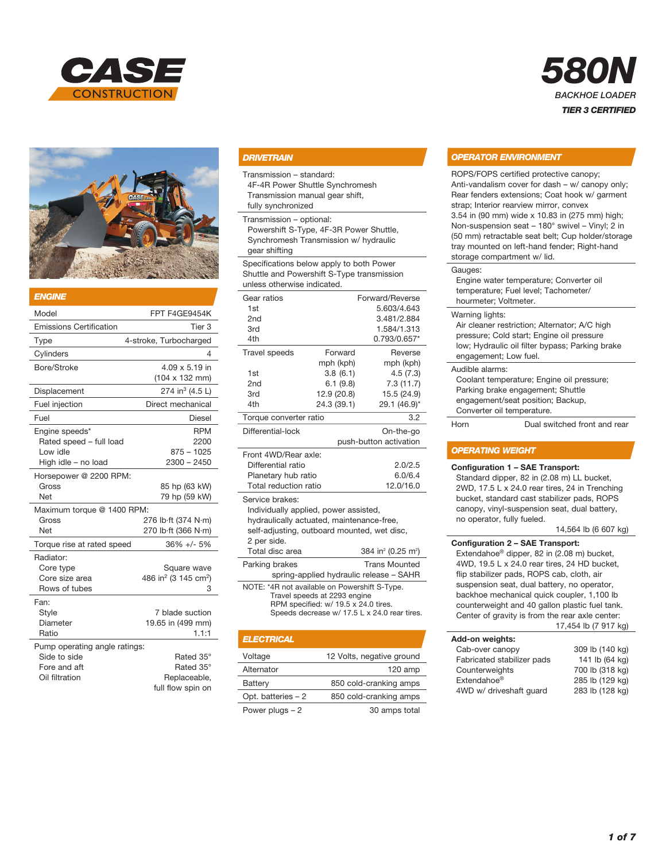



| <b>ENGINE</b>                                                                   |                                                                  |
|---------------------------------------------------------------------------------|------------------------------------------------------------------|
| Model                                                                           | FPT F4GE9454K                                                    |
| <b>Emissions Certification</b>                                                  | Tier 3                                                           |
| Type                                                                            | 4-stroke, Turbocharged                                           |
| Cylinders                                                                       | 4                                                                |
| Bore/Stroke                                                                     | 4.09 x 5.19 in<br>$(104 \times 132 \text{ mm})$                  |
| Displacement                                                                    | 274 in <sup>3</sup> (4.5 L)                                      |
| Fuel injection                                                                  | Direct mechanical                                                |
| Fuel                                                                            | Diesel                                                           |
| Engine speeds*<br>Rated speed - full load<br>Low idle<br>High idle - no load    | <b>RPM</b><br>2200<br>$875 - 1025$<br>$2300 - 2450$              |
| Horsepower @ 2200 RPM:<br>Gross<br><b>Net</b>                                   | 85 hp (63 kW)<br>79 hp (59 kW)                                   |
| Maximum torque @ 1400 RPM:<br>Gross<br>Net                                      | 276 lb·ft (374 N·m)<br>270 lb·ft (366 N·m)                       |
| Torque rise at rated speed                                                      | $36\% +/- 5\%$                                                   |
| Radiator:<br>Core type<br>Core size area<br>Rows of tubes                       | Square wave<br>486 in <sup>2</sup> (3 145 cm <sup>2</sup> )<br>3 |
| Fan:<br>Style<br>Diameter<br>Ratio                                              | 7 blade suction<br>19.65 in (499 mm)<br>1.1:1                    |
| Pump operating angle ratings:<br>Side to side<br>Fore and aft<br>Oil filtration | Rated 35°<br>Rated 35°<br>Replaceable,<br>full flow spin on      |

## *DRIVETRAIN*

Transmission – standard:

4F-4R Power Shuttle Synchromesh Transmission manual gear shift,

fully synchronized

Transmission – optional:

Powershift S-Type, 4F-3R Power Shuttle, Synchromesh Transmission w/ hydraulic gear shifting

Specifications below apply to both Power Shuttle and Powershift S-Type transmission unless otherwise indicated.

| Gear ratios                           |             | Forward/Reverse |
|---------------------------------------|-------------|-----------------|
| 1st                                   |             | 5.603/4.643     |
| 2 <sub>nd</sub>                       |             | 3.481/2.884     |
| 3rd                                   |             | 1.584/1.313     |
| 4th                                   |             | 0.793/0.657*    |
| <b>Travel speeds</b>                  | Forward     | Reverse         |
|                                       | mph (kph)   | mph (kph)       |
| 1st                                   | 3.8(6.1)    | 4.5(7.3)        |
| 2 <sub>nd</sub>                       | 6.1(9.8)    | 7.3(11.7)       |
| 3rd                                   | 12.9 (20.8) | 15.5 (24.9)     |
| 4th                                   | 24.3 (39.1) | 29.1 (46.9)*    |
| Torque converter ratio                |             | 3.2             |
| Differential-lock                     |             | On-the-go       |
| push-button activation                |             |                 |
| Front 4WD/Rear axle:                  |             |                 |
| Differential ratio                    |             | 2.0/2.5         |
| Planetary hub ratio                   |             | 6.0/6.4         |
| Total reduction ratio                 |             | 12.0/16.0       |
| Service brakes:                       |             |                 |
| Individually applied, power assisted, |             |                 |

hydraulically actuated, maintenance-free, self-adjusting, outboard mounted, wet disc, 2 per side.

| Total disc area                                                                                                                                                       | 384 in <sup>2</sup> (0.25 m <sup>2</sup> ) |
|-----------------------------------------------------------------------------------------------------------------------------------------------------------------------|--------------------------------------------|
| Parking brakes<br>spring-applied hydraulic release - SAHR                                                                                                             | <b>Trans Mounted</b>                       |
| NOTE: *4R not available on Powershift S-Type.<br>Travel speeds at 2293 engine<br>RPM specified: w/ 19.5 x 24.0 tires.<br>Speeds decrease w/ 17.5 L x 24.0 rear tires. |                                            |

| <b>ELECTRICAL</b>   |                           |
|---------------------|---------------------------|
| Voltage             | 12 Volts, negative ground |
| Alternator          | $120$ amp                 |
| Battery             | 850 cold-cranking amps    |
| Opt. batteries $-2$ | 850 cold-cranking amps    |
| Power plugs $-2$    | 30 amps total             |

# *OPERATOR ENVIRONMENT*

ROPS/FOPS certified protective canopy; Anti-vandalism cover for dash – w/ canopy only; Rear fenders extensions; Coat hook w/ garment strap; Interior rearview mirror, convex 3.54 in (90 mm) wide x 10.83 in (275 mm) high; Non-suspension seat – 180° swivel – Vinyl; 2 in (50 mm) retractable seat belt; Cup holder/storage tray mounted on left-hand fender; Right-hand storage compartment w/ lid.

*580N*

*BACKHOE LOADER TIER 3 CERTIFIED*

#### Gauges:

Engine water temperature; Converter oil temperature; Fuel level; Tachometer/ hourmeter; Voltmeter.

Warning lights:

Air cleaner restriction; Alternator; A/C high pressure; Cold start; Engine oil pressure low; Hydraulic oil filter bypass; Parking brake engagement; Low fuel.

#### Audible alarms:

Coolant temperature; Engine oil pressure; Parking brake engagement; Shuttle engagement/seat position; Backup, Converter oil temperature.

Horn Dual switched front and rear

#### *OPERATING WEIGHT*

#### Configuration 1 – SAE Transport:

Standard dipper, 82 in (2.08 m) LL bucket, 2WD, 17.5 L x 24.0 rear tires, 24 in Trenching bucket, standard cast stabilizer pads, ROPS canopy, vinyl-suspension seat, dual battery, no operator, fully fueled.

#### 14,564 lb (6 607 kg)

Configuration 2 – SAE Transport: Extendahoe® dipper, 82 in (2.08 m) bucket, 4WD, 19.5 L x 24.0 rear tires, 24 HD bucket, flip stabilizer pads, ROPS cab, cloth, air suspension seat, dual battery, no operator, backhoe mechanical quick coupler, 1,100 lb counterweight and 40 gallon plastic fuel tank. Center of gravity is from the rear axle center: 17,454 lb (7 917 kg)

#### Add-on weights:

| הטאוואיטוויט וויט          |                 |
|----------------------------|-----------------|
| Cab-over canopy            | 309 lb (140 kg) |
| Fabricated stabilizer pads | 141 lb (64 kg)  |
| Counterweights             | 700 lb (318 kg) |
| Extendahoe <sup>®</sup>    | 285 lb (129 kg) |
| 4WD w/ driveshaft quard    | 283 lb (128 kg) |
|                            |                 |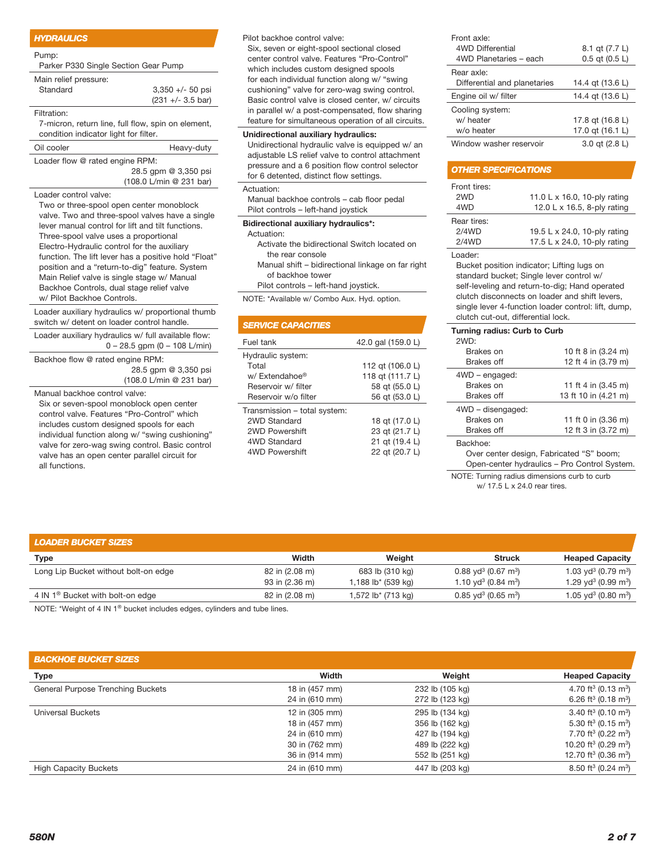#### *HYDRAULICS*

#### Pump:

Parker P330 Single Section Gear Pump

| Main relief pressure:<br>Standard                  | $3,350 +/- 50$ psi          |  |
|----------------------------------------------------|-----------------------------|--|
|                                                    |                             |  |
|                                                    | $(231 +/- 3.5 \text{ bar})$ |  |
| Filtration:                                        |                             |  |
| 7-micron, return line, full flow, spin on element, |                             |  |
| condition indicator light for filter.              |                             |  |
| Oil cooler                                         | Heavy-duty                  |  |
| Loader flow @ rated engine RPM:                    |                             |  |
|                                                    | $00E$ ann $0.0E0$ noi       |  |

 28.5 gpm @ 3,350 psi (108.0 L/min @ 231 bar)

Loader control valve:

Two or three-spool open center monoblock valve. Two and three-spool valves have a single lever manual control for lift and tilt functions. Three-spool valve uses a proportional Electro-Hydraulic control for the auxiliary function. The lift lever has a positive hold "Float" position and a "return-to-dig" feature. System Main Relief valve is single stage w/ Manual Backhoe Controls, dual stage relief valve w/ Pilot Backhoe Controls.

Loader auxiliary hydraulics w/ proportional thumb switch w/ detent on loader control handle.

Loader auxiliary hydraulics w/ full available flow: 0 – 28.5 gpm (0 – 108 L/min)

Backhoe flow @ rated engine RPM: 28.5 gpm @ 3,350 psi (108.0 L/min @ 231 bar)

Manual backhoe control valve: Six or seven-spool monoblock open center control valve. Features "Pro-Control" which

includes custom designed spools for each individual function along w/ "swing cushioning" valve for zero-wag swing control. Basic control valve has an open center parallel circuit for all functions.

Pilot backhoe control valve:

Six, seven or eight-spool sectional closed center control valve. Features "Pro-Control" which includes custom designed spools for each individual function along w/ "swing cushioning" valve for zero-wag swing control. Basic control valve is closed center, w/ circuits in parallel w/ a post-compensated, flow sharing feature for simultaneous operation of all circuits.

## Unidirectional auxiliary hydraulics:

Unidirectional hydraulic valve is equipped w/ an adjustable LS relief valve to control attachment pressure and a 6 position flow control selector for 6 detented, distinct flow settings.

#### Actuation:

Manual backhoe controls – cab floor pedal Pilot controls – left-hand joystick

#### Bidirectional auxiliary hydraulics\*:

Actuation:

 Activate the bidirectional Switch located on the rear console

 Manual shift – bidirectional linkage on far right of backhoe tower

Pilot controls – left-hand joystick.

NOTE: \*Available w/ Combo Aux. Hyd. option.

| <b>SERVICE CAPACITIES</b>    |                    |
|------------------------------|--------------------|
| Fuel tank                    | 42.0 gal (159.0 L) |
| Hydraulic system:            |                    |
| Total                        | 112 gt (106.0 L)   |
| w/ Extendahoe®               | 118 qt (111.7 L)   |
| Reservoir w/ filter          | 58 gt (55.0 L)     |
| Reservoir w/o filter         | 56 gt (53.0 L)     |
| Transmission - total system: |                    |
| 2WD Standard                 | 18 gt (17.0 L)     |
| 2WD Powershift               | 23 qt (21.7 L)     |
| 4WD Standard                 | 21 gt (19.4 L)     |
| 4WD Powershift               | 22 gt (20.7 L)     |

| Front axle:                  |                    |
|------------------------------|--------------------|
| <b>4WD Differential</b>      | 8.1 qt (7.7 L)     |
| 4WD Planetaries - each       | $0.5$ qt $(0.5 L)$ |
| Rear axle:                   |                    |
| Differential and planetaries | 14.4 gt (13.6 L)   |
| Engine oil w/ filter         | 14.4 gt (13.6 L)   |
| Cooling system:              |                    |
| w/ heater                    | 17.8 gt (16.8 L)   |
| w/o heater                   | 17.0 gt (16.1 L)   |
| Window washer reservoir      | 3.0 gt (2.8 L)     |

#### *OTHER SPECIFICATIONS*

| Front tires: |                              |
|--------------|------------------------------|
| 2WD          | 11.0 L x 16.0, 10-ply rating |
| 4WD          | 12.0 L x 16.5, 8-ply rating  |
| Rear tires:  |                              |
| 2/4WD        | 19.5 L x 24.0, 10-ply rating |
| 2/4WD        | 17.5 L x 24.0, 10-ply rating |
|              |                              |

Loader:

Bucket position indicator; Lifting lugs on standard bucket; Single lever control w/ self-leveling and return-to-dig; Hand operated clutch disconnects on loader and shift levers, single lever 4-function loader control: lift, dump, clutch cut-out, differential lock.

| Turning radius: Curb to Curb |                      |  |
|------------------------------|----------------------|--|
| 2WD:                         |                      |  |
| Brakes on                    | 10 ft 8 in (3.24 m)  |  |
| <b>Brakes off</b>            | 12 ft 4 in (3.79 m)  |  |
| 4WD - engaged:               |                      |  |
| Brakes on                    | 11 ft 4 in (3.45 m)  |  |
| <b>Brakes off</b>            | 13 ft 10 in (4.21 m) |  |
| 4WD - disengaged:            |                      |  |
| Brakes on                    | 11 ft 0 in (3.36 m)  |  |
| <b>Brakes off</b>            | 12 ft 3 in (3.72 m)  |  |
| Backhoe:                     |                      |  |

 Over center design, Fabricated "S" boom; Open-center hydraulics – Pro Control System.

NOTE: Turning radius dimensions curb to curb w/ 17.5 L x 24.0 rear tires.

| <b>LOADER BUCKET SIZES</b>                   |                |                                |                                               |                                             |
|----------------------------------------------|----------------|--------------------------------|-----------------------------------------------|---------------------------------------------|
| <b>Type</b>                                  | <b>Width</b>   | Weight                         | <b>Struck</b>                                 | <b>Heaped Capacity</b>                      |
| Long Lip Bucket without bolt-on edge         | 82 in (2.08 m) | 683 lb (310 kg)                | $0.88$ yd <sup>3</sup> (0.67 m <sup>3</sup> ) | 1.03 yd <sup>3</sup> (0.79 m <sup>3</sup> ) |
|                                              | 93 in (2.36 m) | 1,188 lb <sup>*</sup> (539 kg) | 1.10 yd <sup>3</sup> (0.84 m <sup>3</sup> )   | 1.29 yd <sup>3</sup> (0.99 m <sup>3</sup> ) |
| 4 IN 1 <sup>®</sup> Bucket with bolt-on edge | 82 in (2.08 m) | 1,572 lb* (713 kg)             | $0.85$ yd <sup>3</sup> (0.65 m <sup>3</sup> ) | 1.05 yd <sup>3</sup> (0.80 m <sup>3</sup> ) |

NOTE: \*Weight of 4 IN 1® bucket includes edges, cylinders and tube lines.

| <b>BACKHOE BUCKET SIZES</b> |  |
|-----------------------------|--|
| Tyne                        |  |

| Width          | Weight          | <b>Heaped Capacity</b>                       |
|----------------|-----------------|----------------------------------------------|
| 18 in (457 mm) | 232 lb (105 kg) | 4.70 ft <sup>3</sup> (0.13 m <sup>3</sup> )  |
| 24 in (610 mm) | 272 lb (123 kg) | 6.26 ft <sup>3</sup> (0.18 m <sup>3</sup> )  |
| 12 in (305 mm) | 295 lb (134 kg) | 3.40 ft <sup>3</sup> (0.10 m <sup>3</sup> )  |
| 18 in (457 mm) | 356 lb (162 kg) | 5.30 ft <sup>3</sup> (0.15 m <sup>3</sup> )  |
| 24 in (610 mm) | 427 lb (194 kg) | 7.70 ft <sup>3</sup> (0.22 m <sup>3</sup> )  |
| 30 in (762 mm) | 489 lb (222 kg) | 10.20 ft <sup>3</sup> (0.29 m <sup>3</sup> ) |
| 36 in (914 mm) | 552 lb (251 kg) | 12.70 ft <sup>3</sup> (0.36 m <sup>3</sup> ) |
| 24 in (610 mm) | 447 lb (203 kg) | 8.50 ft <sup>3</sup> (0.24 m <sup>3</sup> )  |
|                |                 |                                              |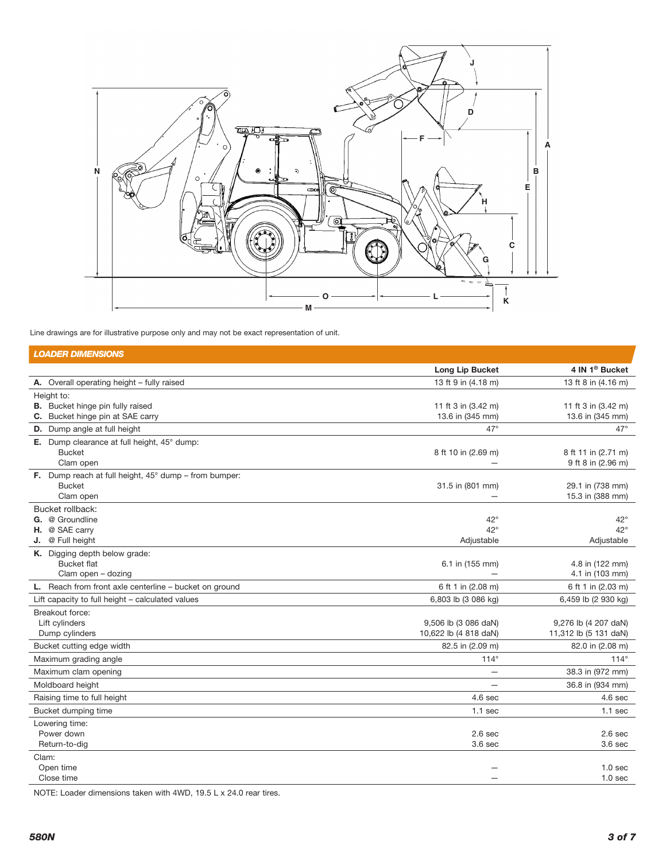

Line drawings are for illustrative purpose only and may not be exact representation of unit.

| <b>LOADER DIMENSIONS</b>                                              |                       |                            |
|-----------------------------------------------------------------------|-----------------------|----------------------------|
|                                                                       | Long Lip Bucket       | 4 IN 1 <sup>®</sup> Bucket |
| A. Overall operating height - fully raised                            | 13 ft 9 in (4.18 m)   | 13 ft 8 in (4.16 m)        |
| Height to:                                                            |                       |                            |
| <b>B.</b> Bucket hinge pin fully raised                               | 11 ft 3 in (3.42 m)   | 11 ft 3 in (3.42 m)        |
| C. Bucket hinge pin at SAE carry                                      | 13.6 in (345 mm)      | 13.6 in (345 mm)           |
| D. Dump angle at full height                                          | $47^\circ$            | $47^\circ$                 |
| E. Dump clearance at full height, 45° dump:<br><b>Bucket</b>          |                       | 8 ft 11 in (2.71 m)        |
| Clam open                                                             | 8 ft 10 in (2.69 m)   | 9 ft 8 in (2.96 m)         |
| <b>F.</b> Dump reach at full height, $45^{\circ}$ dump – from bumper: |                       |                            |
| <b>Bucket</b>                                                         | 31.5 in (801 mm)      | 29.1 in (738 mm)           |
| Clam open                                                             |                       | 15.3 in (388 mm)           |
| Bucket rollback:                                                      |                       |                            |
| G. @ Groundline                                                       | $42^{\circ}$          | $42^{\circ}$               |
| H. @ SAE carry                                                        | $42^{\circ}$          | $42^{\circ}$               |
| J. @ Full height                                                      | Adjustable            | Adjustable                 |
| K. Digging depth below grade:<br><b>Bucket flat</b>                   | 6.1 in (155 mm)       | 4.8 in (122 mm)            |
| Clam open - dozing                                                    |                       | 4.1 in (103 mm)            |
| L. Reach from front axle centerline - bucket on ground                | 6 ft 1 in (2.08 m)    | 6 ft 1 in (2.03 m)         |
| Lift capacity to full height - calculated values                      | 6,803 lb (3 086 kg)   | 6,459 lb (2 930 kg)        |
| Breakout force:                                                       |                       |                            |
| Lift cylinders                                                        | 9,506 lb (3 086 daN)  | 9,276 lb (4 207 daN)       |
| Dump cylinders                                                        | 10,622 lb (4 818 daN) | 11,312 lb (5 131 daN)      |
| Bucket cutting edge width                                             | 82.5 in (2.09 m)      | 82.0 in (2.08 m)           |
| Maximum grading angle                                                 | $114^\circ$           | $114^\circ$                |
| Maximum clam opening                                                  |                       | 38.3 in (972 mm)           |
| Moldboard height                                                      |                       | 36.8 in (934 mm)           |
| Raising time to full height                                           | 4.6 <sub>sec</sub>    | 4.6 <sub>sec</sub>         |
| Bucket dumping time                                                   | $1.1$ sec             | $1.1$ sec                  |
| Lowering time:                                                        |                       |                            |
| Power down                                                            | 2.6 <sub>sec</sub>    | 2.6 <sub>sec</sub>         |
| Return-to-dig                                                         | 3.6 <sub>sec</sub>    | 3.6 <sub>sec</sub>         |
| Clam:                                                                 |                       |                            |
| Open time                                                             |                       | 1.0 <sub>sec</sub>         |
| Close time                                                            |                       | 1.0 <sub>sec</sub>         |

NOTE: Loader dimensions taken with 4WD, 19.5 L x 24.0 rear tires.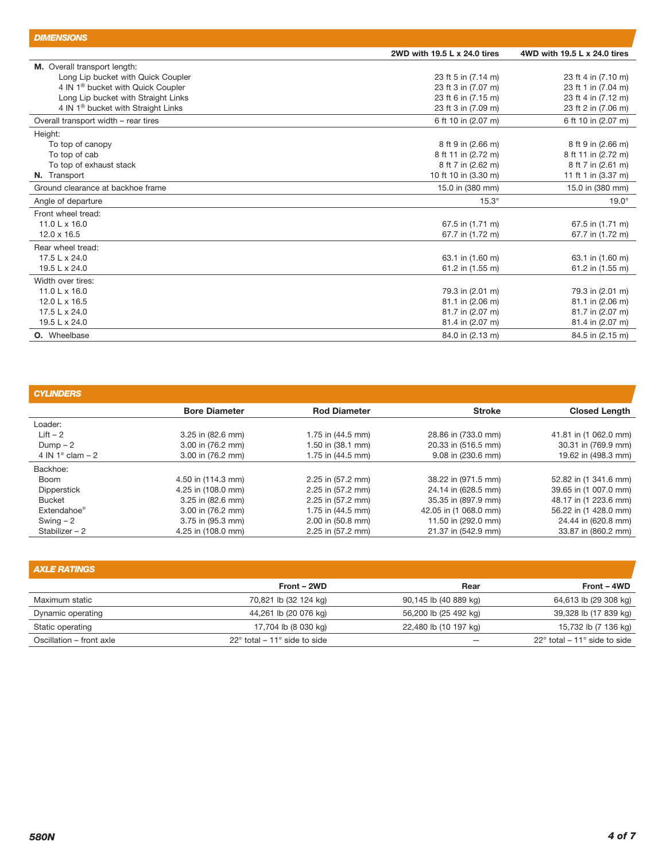| <b>DIMENSIONS</b>                              |                              |                              |
|------------------------------------------------|------------------------------|------------------------------|
|                                                | 2WD with 19.5 L x 24.0 tires | 4WD with 19.5 L x 24.0 tires |
| M. Overall transport length:                   |                              |                              |
| Long Lip bucket with Quick Coupler             | 23 ft 5 in (7.14 m)          | 23 ft 4 in (7.10 m)          |
| 4 IN 1 <sup>®</sup> bucket with Quick Coupler  | 23 ft 3 in (7.07 m)          | 23 ft 1 in (7.04 m)          |
| Long Lip bucket with Straight Links            | 23 ft 6 in (7.15 m)          | 23 ft 4 in (7.12 m)          |
| 4 IN 1 <sup>®</sup> bucket with Straight Links | 23 ft 3 in (7.09 m)          | 23 ft 2 in (7.06 m)          |
| Overall transport width - rear tires           | 6 ft 10 in (2.07 m)          | 6 ft 10 in (2.07 m)          |
| Height:                                        |                              |                              |
| To top of canopy                               | 8 ft 9 in (2.66 m)           | 8 ft 9 in (2.66 m)           |
| To top of cab                                  | 8 ft 11 in (2.72 m)          | 8 ft 11 in (2.72 m)          |
| To top of exhaust stack                        | 8 ft 7 in (2.62 m)           | 8 ft 7 in (2.61 m)           |
| N. Transport                                   | 10 ft 10 in (3.30 m)         | 11 ft 1 in (3.37 m)          |
| Ground clearance at backhoe frame              | 15.0 in (380 mm)             | 15.0 in (380 mm)             |
| Angle of departure                             | $15.3^\circ$                 | $19.0^\circ$                 |
| Front wheel tread:                             |                              |                              |
| 11.0 L $\times$ 16.0                           | 67.5 in (1.71 m)             | 67.5 in (1.71 m)             |
| $12.0 \times 16.5$                             | 67.7 in (1.72 m)             | 67.7 in (1.72 m)             |
| Rear wheel tread:                              |                              |                              |
| 17.5 L x 24.0                                  | 63.1 in (1.60 m)             | 63.1 in (1.60 m)             |
| 19.5 L x 24.0                                  | 61.2 in (1.55 m)             | 61.2 in (1.55 m)             |
| Width over tires:                              |                              |                              |
| 11.0 L x 16.0                                  | 79.3 in (2.01 m)             | 79.3 in (2.01 m)             |
| 12.0 L x 16.5                                  | 81.1 in (2.06 m)             | 81.1 in (2.06 m)             |
| 17.5 L x 24.0                                  | 81.7 in (2.07 m)             | 81.7 in (2.07 m)             |
| 19.5 L x 24.0                                  | 81.4 in (2.07 m)             | 81.4 in (2.07 m)             |
| <b>O.</b> Wheelbase                            | 84.0 in (2.13 m)             | 84.5 in (2.15 m)             |

| <b>CYLINDERS</b>           |                      |                       |                       |                       |
|----------------------------|----------------------|-----------------------|-----------------------|-----------------------|
|                            | <b>Bore Diameter</b> | <b>Rod Diameter</b>   | <b>Stroke</b>         | <b>Closed Length</b>  |
| Loader:                    |                      |                       |                       |                       |
| $Lift - 2$                 | 3.25 in (82.6 mm)    | 1.75 in (44.5 mm)     | 28.86 in (733.0 mm)   | 41.81 in (1 062.0 mm) |
| $Dump - 2$                 | 3.00 in (76.2 mm)    | 1.50 in (38.1 mm)     | 20.33 in (516.5 mm)   | 30.31 in (769.9 mm)   |
| 4 IN $1^{\circ}$ clam $-2$ | 3.00 in (76.2 mm)    | 1.75 in (44.5 mm)     | 9.08 in (230.6 mm)    | 19.62 in (498.3 mm)   |
| Backhoe:                   |                      |                       |                       |                       |
| Boom                       | 4.50 in (114.3 mm)   | 2.25 in (57.2 mm)     | 38.22 in (971.5 mm)   | 52.82 in (1 341.6 mm) |
| <b>Dipperstick</b>         | 4.25 in (108.0 mm)   | 2.25 in (57.2 mm)     | 24.14 in (628.5 mm)   | 39.65 in (1 007.0 mm) |
| <b>Bucket</b>              | 3.25 in (82.6 mm)    | $2.25$ in $(57.2$ mm) | 35.35 in (897.9 mm)   | 48.17 in (1 223.6 mm) |
| Extendahoe <sup>®</sup>    | 3.00 in (76.2 mm)    | 1.75 in (44.5 mm)     | 42.05 in (1 068.0 mm) | 56.22 in (1 428.0 mm) |
| Swing $-2$                 | 3.75 in (95.3 mm)    | 2.00 in (50.8 mm)     | 11.50 in (292.0 mm)   | 24.44 in (620.8 mm)   |
| Stabilizer $-2$            | 4.25 in (108.0 mm)   | 2.25 in (57.2 mm)     | 21.37 in (542.9 mm)   | 33.87 in (860.2 mm)   |

| <b>AXLE RATINGS</b>      |                                                 |                       |                                                 |
|--------------------------|-------------------------------------------------|-----------------------|-------------------------------------------------|
|                          | Front - 2WD                                     | Rear                  | Front - 4WD                                     |
| Maximum static           | 70,821 lb (32 124 kg)                           | 90,145 lb (40 889 kg) | 64,613 lb (29 308 kg)                           |
| Dynamic operating        | 44,261 lb (20 076 kg)                           | 56,200 lb (25 492 kg) | 39,328 lb (17 839 kg)                           |
| Static operating         | 17,704 lb (8 030 kg)                            | 22,480 lb (10 197 kg) | 15,732 lb (7 136 kg)                            |
| Oscillation - front axle | $22^{\circ}$ total – 11 $^{\circ}$ side to side |                       | $22^{\circ}$ total – 11 $^{\circ}$ side to side |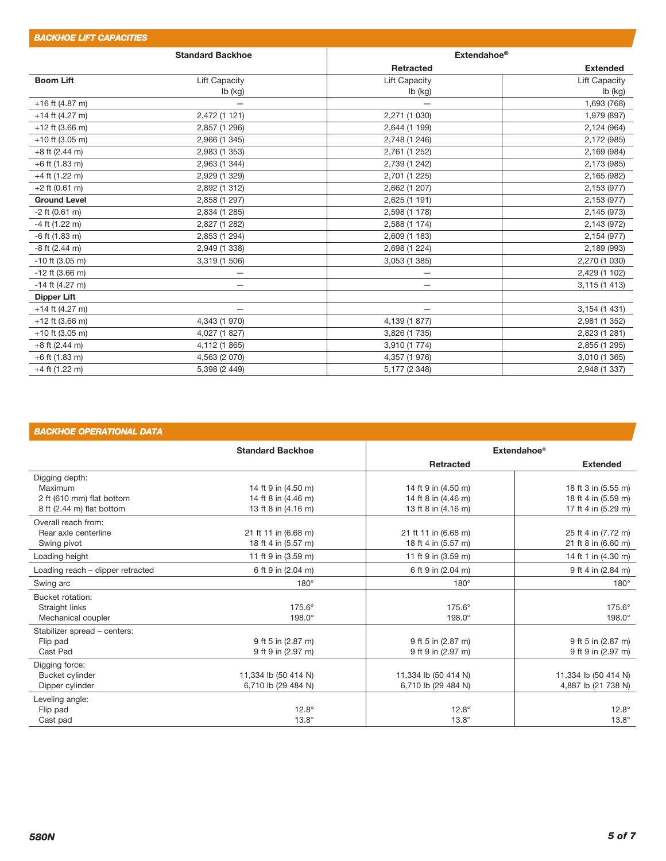| <b>BACKHOE LIFT CAPACITIES</b> |                         |                          |                      |
|--------------------------------|-------------------------|--------------------------|----------------------|
|                                | <b>Standard Backhoe</b> | Extendahoe <sup>®</sup>  |                      |
|                                |                         | <b>Retracted</b>         | <b>Extended</b>      |
| <b>Boom Lift</b>               | <b>Lift Capacity</b>    | <b>Lift Capacity</b>     | <b>Lift Capacity</b> |
|                                | Ib (kg)                 | lb (kg)                  | $Ib$ (kg)            |
| $+16$ ft (4.87 m)              |                         |                          | 1,693 (768)          |
| $+14$ ft (4.27 m)              | 2,472 (1 121)           | 2,271 (1 030)            | 1,979 (897)          |
| $+12$ ft (3.66 m)              | 2,857 (1 296)           | 2,644 (1 199)            | 2,124 (964)          |
| $+10$ ft (3.05 m)              | 2,966 (1 345)           | 2,748 (1 246)            | 2,172 (985)          |
| $+8$ ft (2.44 m)               | 2,983 (1 353)           | 2,761 (1 252)            | 2,169 (984)          |
| $+6$ ft (1.83 m)               | 2,963 (1 344)           | 2,739 (1 242)            | 2,173 (985)          |
| $+4$ ft (1.22 m)               | 2,929 (1 329)           | 2,701 (1 225)            | 2,165 (982)          |
| $+2$ ft (0.61 m)               | 2,892 (1 312)           | 2,662 (1 207)            | 2,153 (977)          |
| <b>Ground Level</b>            | 2,858 (1 297)           | 2,625 (1 191)            | 2,153 (977)          |
| $-2$ ft (0.61 m)               | 2,834 (1 285)           | 2,598 (1 178)            | 2,145 (973)          |
| $-4$ ft (1.22 m)               | 2,827 (1 282)           | 2,588 (1 174)            | 2,143 (972)          |
| $-6$ ft (1.83 m)               | 2,853 (1 294)           | 2,609 (1 183)            | 2,154 (977)          |
| $-8$ ft (2.44 m)               | 2,949 (1 338)           | 2,698 (1 224)            | 2,189 (993)          |
| $-10$ ft (3.05 m)              | 3,319 (1 506)           | 3,053 (1 385)            | 2,270 (1 030)        |
| $-12$ ft (3.66 m)              | —                       | —                        | 2,429 (1 102)        |
| $-14$ ft (4.27 m)              | —                       | —                        | 3,115 (1 413)        |
| <b>Dipper Lift</b>             |                         |                          |                      |
| $+14$ ft (4.27 m)              | —                       | $\overline{\phantom{0}}$ | 3,154 (1 431)        |
| $+12$ ft (3.66 m)              | 4,343 (1 970)           | 4,139 (1 877)            | 2,981 (1 352)        |
| $+10$ ft (3.05 m)              | 4,027 (1 827)           | 3,826 (1 735)            | 2,823 (1 281)        |
| $+8$ ft (2.44 m)               | 4,112 (1 865)           | 3,910 (1 774)            | 2,855 (1 295)        |
| $+6$ ft (1.83 m)               | 4,563 (2 070)           | 4,357 (1 976)            | 3,010 (1 365)        |
| $+4$ ft (1.22 m)               | 5,398 (2 449)           | 5,177 (2 348)            | 2,948 (1 337)        |
|                                |                         |                          |                      |

# *BACKHOE OPERATIONAL DATA*

|                                  | <b>Standard Backhoe</b> | <b>Extendahoe®</b>   |                      |
|----------------------------------|-------------------------|----------------------|----------------------|
|                                  |                         | <b>Retracted</b>     | <b>Extended</b>      |
| Digging depth:                   |                         |                      |                      |
| Maximum                          | 14 ft 9 in (4.50 m)     | 14 ft 9 in (4.50 m)  | 18 ft 3 in (5.55 m)  |
| 2 ft (610 mm) flat bottom        | 14 ft 8 in (4.46 m)     | 14 ft 8 in (4.46 m)  | 18 ft 4 in (5.59 m)  |
| 8 ft (2.44 m) flat bottom        | 13 ft 8 in (4.16 m)     | 13 ft 8 in (4.16 m)  | 17 ft 4 in (5.29 m)  |
| Overall reach from:              |                         |                      |                      |
| Rear axle centerline             | 21 ft 11 in (6.68 m)    | 21 ft 11 in (6.68 m) | 25 ft 4 in (7.72 m)  |
| Swing pivot                      | 18 ft 4 in (5.57 m)     | 18 ft 4 in (5.57 m)  | 21 ft 8 in (6.60 m)  |
| Loading height                   | 11 ft 9 in (3.59 m)     | 11 ft 9 in (3.59 m)  | 14 ft 1 in (4.30 m)  |
| Loading reach - dipper retracted | 6 ft 9 in (2.04 m)      | 6 ft 9 in (2.04 m)   | 9 ft 4 in (2.84 m)   |
| Swing arc                        | $180^\circ$             | $180^\circ$          | $180^\circ$          |
| Bucket rotation:                 |                         |                      |                      |
| Straight links                   | 175.6°                  | $175.6^\circ$        | 175.6°               |
| Mechanical coupler               | $198.0^\circ$           | $198.0^\circ$        | $198.0^\circ$        |
| Stabilizer spread - centers:     |                         |                      |                      |
| Flip pad                         | 9 ft 5 in (2.87 m)      | 9 ft 5 in (2.87 m)   | 9 ft 5 in (2.87 m)   |
| Cast Pad                         | 9 ft 9 in (2.97 m)      | 9 ft 9 in (2.97 m)   | 9 ft 9 in (2.97 m)   |
| Digging force:                   |                         |                      |                      |
| Bucket cylinder                  | 11,334 lb (50 414 N)    | 11,334 lb (50 414 N) | 11,334 lb (50 414 N) |
| Dipper cylinder                  | 6,710 lb (29 484 N)     | 6,710 lb (29 484 N)  | 4,887 lb (21 738 N)  |
| Leveling angle:                  |                         |                      |                      |
| Flip pad                         | $12.8^\circ$            | $12.8^\circ$         | $12.8^\circ$         |
| Cast pad                         | $13.8^\circ$            | $13.8^\circ$         | $13.8^\circ$         |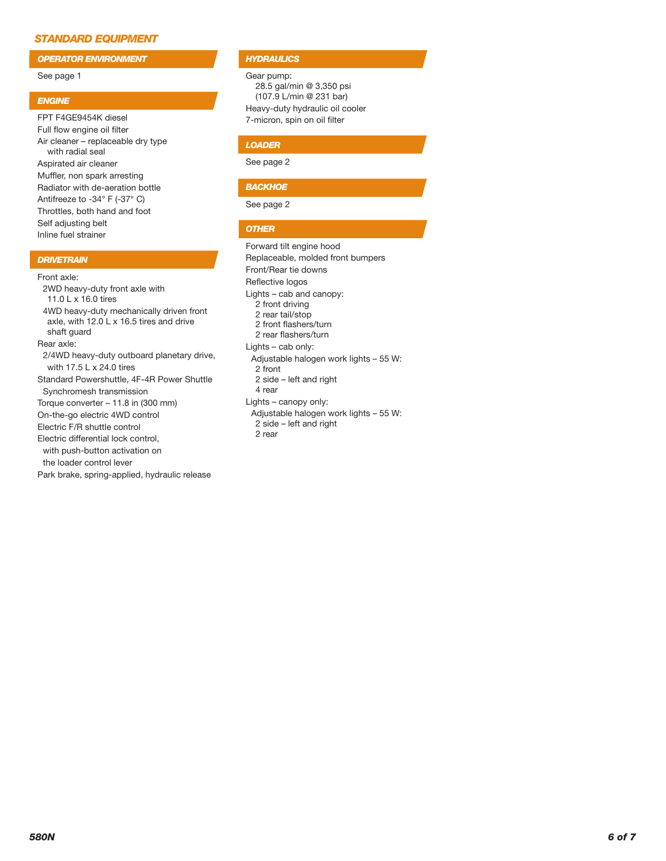# *STANDARD EQUIPMENT*

*OPERATOR ENVIRONMENT*

## See page 1

## *ENGINE*

FPT F4GE9454K diesel Full flow engine oil filter Air cleaner – replaceable dry type with radial seal Aspirated air cleaner Muffler, non spark arresting Radiator with de-aeration bottle Antifreeze to -34° F (-37° C) Throttles, both hand and foot Self adjusting belt Inline fuel strainer

# *DRIVETRAIN*

Front axle:

2WD heavy-duty front axle with 11.0 L x 16.0 tires 4WD heavy-duty mechanically driven front axle, with 12.0 L x 16.5 tires and drive shaft guard Rear axle: 2/4WD heavy-duty outboard planetary drive, with 17.5 L x 24.0 tires Standard Powershuttle, 4F-4R Power Shuttle Synchromesh transmission Torque converter – 11.8 in (300 mm) On-the-go electric 4WD control Electric F/R shuttle control Electric differential lock control, with push-button activation on the loader control lever Park brake, spring-applied, hydraulic release

## *HYDRAULICS*

Gear pump: 28.5 gal/min @ 3,350 psi (107.9 L/min @ 231 bar) Heavy-duty hydraulic oil cooler 7-micron, spin on oil filter

# *LOADER*

See page 2

# *BACKHOE*

See page 2

# *OTHER*

Forward tilt engine hood Replaceable, molded front bumpers Front/Rear tie downs Reflective logos Lights – cab and canopy: 2 front driving 2 rear tail/stop 2 front flashers/turn 2 rear flashers/turn Lights – cab only: Adjustable halogen work lights – 55 W: 2 front 2 side – left and right 4 rear Lights – canopy only: Adjustable halogen work lights – 55 W: 2 side – left and right 2 rear